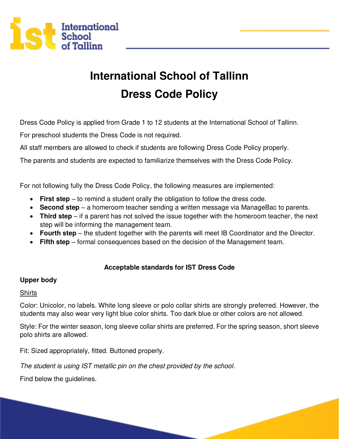

# **International School of Tallinn Dress Code Policy**

Dress Code Policy is applied from Grade 1 to 12 students at the International School of Tallinn.

For preschool students the Dress Code is not required.

All staff members are allowed to check if students are following Dress Code Policy properly.

The parents and students are expected to familiarize themselves with the Dress Code Policy.

For not following fully the Dress Code Policy, the following measures are implemented:

- **First step**  to remind a student orally the obligation to follow the dress code.
- **Second step**  a homeroom teacher sending a written message via ManageBac to parents.
- **Third step**  if a parent has not solved the issue together with the homeroom teacher, the next step will be informing the management team.
- **Fourth step** the student together with the parents will meet IB Coordinator and the Director.
- **Fifth step**  formal consequences based on the decision of the Management team.

## **Acceptable standards for IST Dress Code**

## **Upper body**

## **Shirts**

Color: Unicolor, no labels. White long sleeve or polo collar shirts are strongly preferred. However, the students may also wear very light blue color shirts. Too dark blue or other colors are not allowed.

Style: For the winter season, long sleeve collar shirts are preferred. For the spring season, short sleeve polo shirts are allowed.

Fit: Sized appropriately, fitted. Buttoned properly.

*The student is using IST metallic pin on the chest provided by the school*.

Find below the guidelines.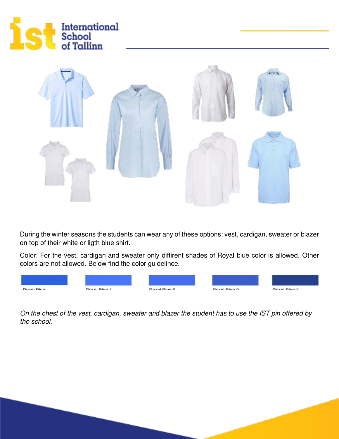



During the winter seasons the students can wear any of these options: vest, cardigan, sweater or blazer on top of their white or ligth blue shirt.

Color: For the vest, cardigan and sweater only diffirent shades of Royal blue color is allowed. Other colors are not allowed. Below find the color guidelince.

| Royal Blue | Royal Blue 1 | Royal Blue 2 | Royal Blue 3 | Royal Blue 4 |
|------------|--------------|--------------|--------------|--------------|

*On the chest of the vest, cardigan, sweater and blazer the student has to use the IST pin offered by the school.*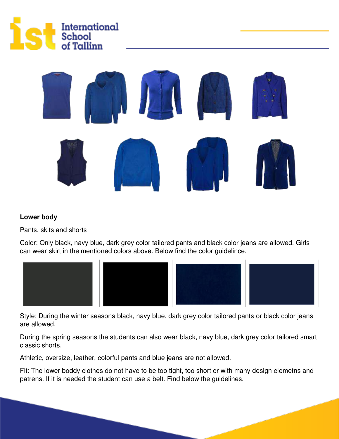



### **Lower body**

#### Pants, skits and shorts

Color: Only black, navy blue, dark grey color tailored pants and black color jeans are allowed. Girls can wear skirt in the mentioned colors above. Below find the color guidelince.



Style: During the winter seasons black, navy blue, dark grey color tailored pants or black color jeans are allowed.

During the spring seasons the students can also wear black, navy blue, dark grey color tailored smart classic shorts.

Athletic, oversize, leather, colorful pants and blue jeans are not allowed.

Fit: The lower boddy clothes do not have to be too tight, too short or with many design elemetns and patrens. If it is needed the student can use a belt. Find below the guidelines.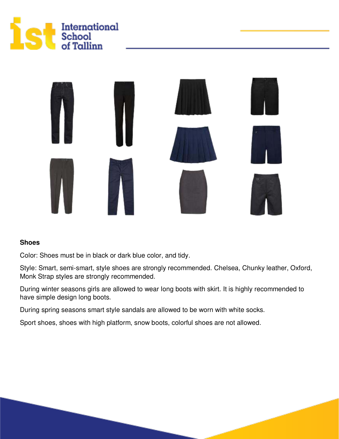



#### **Shoes**

Color: Shoes must be in black or dark blue color, and tidy.

Style: Smart, semi-smart, style shoes are strongly recommended. Chelsea, Chunky leather, Oxford, Monk Strap styles are strongly recommended.

During winter seasons girls are allowed to wear long boots with skirt. It is highly recommended to have simple design long boots.

During spring seasons smart style sandals are allowed to be worn with white socks.

Sport shoes, shoes with high platform, snow boots, colorful shoes are not allowed.